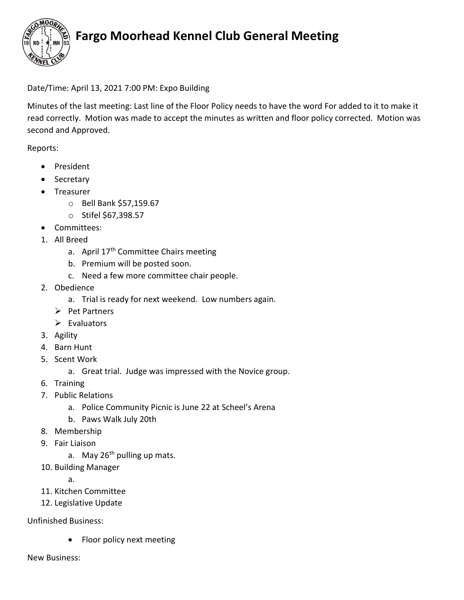

## Fargo Moorhead Kennel Club General Meeting

### Date/Time: April 13, 2021 7:00 PM: Expo Building

Minutes of the last meeting: Last line of the Floor Policy needs to have the word For added to it to make it read correctly. Motion was made to accept the minutes as written and floor policy corrected. Motion was second and Approved.

Reports:

- President
- Secretary
- Treasurer
	- o Bell Bank \$57,159.67
	- o Stifel \$67,398.57
- Committees:
- 1. All Breed
	- a. April 17<sup>th</sup> Committee Chairs meeting
	- b. Premium will be posted soon.
	- c. Need a few more committee chair people.
- 2. Obedience
	- a. Trial is ready for next weekend. Low numbers again.
	- $\triangleright$  Pet Partners
	- $\triangleright$  Evaluators
- 3. Agility
- 4. Barn Hunt
- 5. Scent Work
	- a. Great trial. Judge was impressed with the Novice group.
- 6. Training
- 7. Public Relations
	- a. Police Community Picnic is June 22 at Scheel's Arena
	- b. Paws Walk July 20th
- 8. Membership
- 9. Fair Liaison
	- a. May  $26<sup>th</sup>$  pulling up mats.
- 10. Building Manager
	- a.
- 11. Kitchen Committee
- 12. Legislative Update

Unfinished Business:

• Floor policy next meeting

New Business: